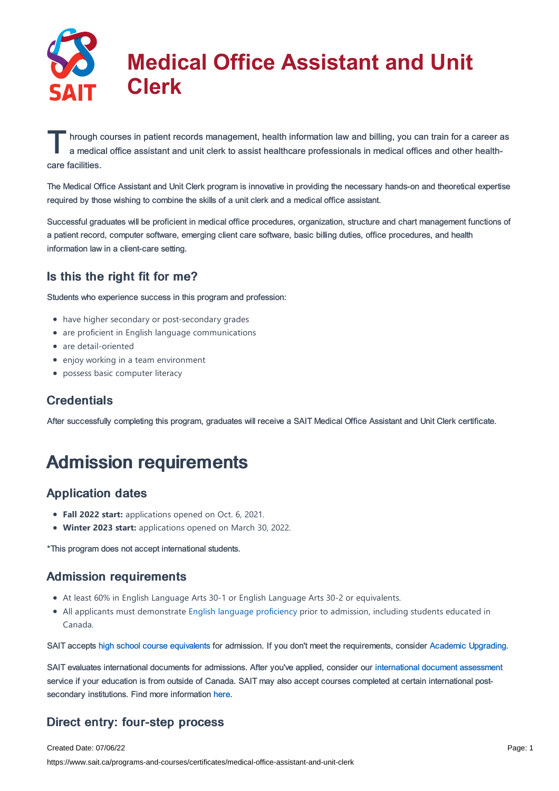

hrough courses in patient records management, health information law and billing, you can train for a career and a medical office assistant and unit clerk to assist healthcare professionals in medical offices and other hea hrough courses in patient records management, health information law and billing, you can train for a career as care facilities.

The Medical Office Assistant and Unit Clerk program is innovative in providing the necessary hands-on and theoretical expertise required by those wishing to combine the skills of a unit clerk and a medical office assistant.

Successful graduates will be proficient in medical office procedures, organization, structure and chart management functions of a patient record, computer software, emerging client care software, basic billing duties, office procedures, and health information law in a client-care setting.

### Is this the right fit for me?

Students who experience success in this program and profession:

- have higher secondary or post-secondary grades
- are proficient in English language communications
- are detail-oriented
- enjoy working in a team environment
- possess basic computer literacy

# **Credentials**

After successfully completing this program, graduates will receive a SAIT Medical Office Assistant and Unit Clerk certificate.

# Admission requirements

# Application dates

- **Fall 2022 start:** applications opened on Oct. 6, 2021.
- **Winter 2023 start:** applications opened on March 30, 2022.

\*This program does not accept international students.

#### Admission requirements

- At least 60% in English Language Arts 30-1 or English Language Arts 30-2 or equivalents.
- All applicants must demonstrate English language [proficiency](https://www.sait.ca/admissions/before-you-apply/english-proficiency) prior to admission, including students educated in Canada.

SAIT accepts high school course [equivalents](https://www.sait.ca/admissions/before-you-apply/high-school-course-equivalencies) for admission. If you don't meet the requirements, consider Academic [Upgrading.](https://www.sait.ca/programs-and-courses/academic-upgrading)

SAIT evaluates international documents for admissions. After you've applied, consider our [international](https://www.sait.ca/admissions/after-you-apply/international-document-assessment) document assessment service if your education is from outside of Canada. SAIT may also accept courses completed at certain international postsecondary institutions. Find more information [here.](https://www.sait.ca/admissions/after-you-apply/international-institution-academic-partnerships)

# Direct entry: four-step process

Created Date: 07/06/22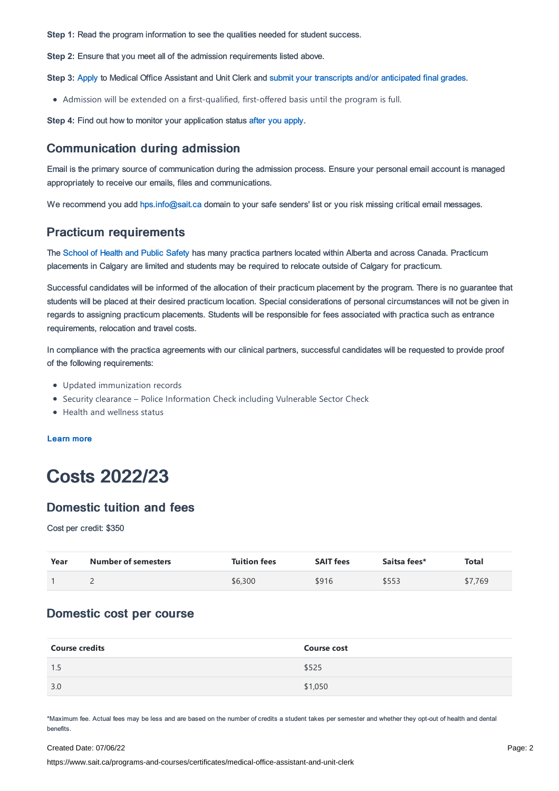**Step 1:** Read the program information to see the qualities needed for student success.

**Step 2:** Ensure that you meet all of the admission requirements listed above.

**Step 3:** [Apply](https://www.sait.ca/admissions/apply) to Medical Office Assistant and Unit Clerk and submit your transcripts and/or [anticipated](https://www.sait.ca/admissions/after-you-apply/transcripts-and-supporting-documents) final grades.

Admission will be extended on a first-qualified, first-offered basis until the program is full.

**Step 4:** Find out how to monitor your application status after you [apply](https://www.sait.ca/admissions/after-you-apply/tracking-your-application).

#### Communication during admission

Email is the primary source of communication during the admission process. Ensure your personal email account is managed appropriately to receive our emails, files and communications.

We recommend you add [hps.info@sait.ca](https://sait.camailto:hps.info@sait.ca) domain to your safe senders' list or you risk missing critical email messages.

#### Practicum requirements

The [School](https://www.sait.ca/sait-schools/school-of-health-and-public-safety) of Health and Public Safety has many practica partners located within Alberta and across Canada. Practicum placements in Calgary are limited and students may be required to relocate outside of Calgary for practicum.

Successful candidates will be informed of the allocation of their practicum placement by the program. There is no guarantee that students will be placed at their desired practicum location. Special considerations of personal circumstances will not be given in regards to assigning practicum placements. Students will be responsible for fees associated with practica such as entrance requirements, relocation and travel costs.

In compliance with the practica agreements with our clinical partners, successful candidates will be requested to provide proof of the following requirements:

- Updated immunization records
- Security clearance Police Information Check including Vulnerable Sector Check
- Health and wellness status

[Learn](https://www.sait.ca/sait-schools/school-of-health-and-public-safety/health-and-public-safety-program-orientation-requirements) more

# Costs 2022/23

#### Domestic tuition and fees

Cost per credit: \$350

| Year | <b>Number of semesters</b> | <b>Tuition fees</b> | <b>SAIT fees</b> | Saitsa fees* | <b>Total</b> |
|------|----------------------------|---------------------|------------------|--------------|--------------|
|      |                            | \$6,300             | \$916            | \$553        | \$7,769      |

#### Domestic cost per course

| <b>Course credits</b> | <b>Course cost</b> |
|-----------------------|--------------------|
| 1.5                   | \$525              |
| 3.0                   | \$1,050            |

\*Maximum fee. Actual fees may be less and are based on the number of credits a student takes per semester and whether they opt-out of health and dental benefits.

#### Created Date: 07/06/22